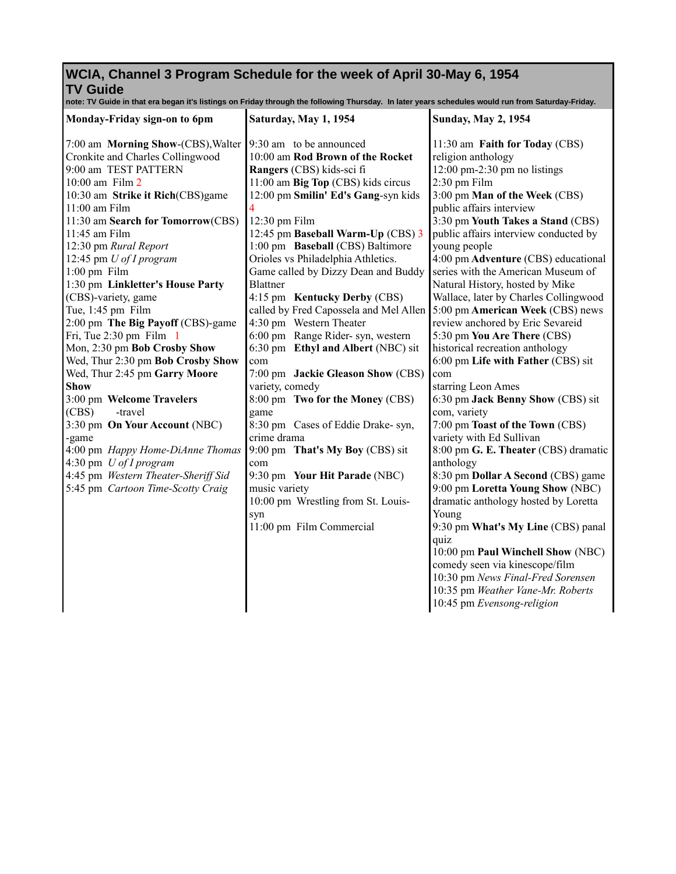## **WCIA, Channel 3 Program Schedule for the week of April 30-May 6, 1954 TV Guide**

**note: TV Guide in that era began it's listings on Friday through the following Thursday. In later years schedules would run from Saturday-Friday.**

| Monday-Friday sign-on to 6pm        | Saturday, May 1, 1954                  | <b>Sunday, May 2, 1954</b>            |
|-------------------------------------|----------------------------------------|---------------------------------------|
| 7:00 am Morning Show-(CBS), Walter  | 9:30 am to be announced                | 11:30 am Faith for Today (CBS)        |
| Cronkite and Charles Collingwood    | 10:00 am Rod Brown of the Rocket       | religion anthology                    |
| 9:00 am TEST PATTERN                | Rangers (CBS) kids-sci fi              | $12:00$ pm-2:30 pm no listings        |
| $10:00$ am Film $2$                 | 11:00 am Big Top (CBS) kids circus     | 2:30 pm Film                          |
| 10:30 am Strike it Rich(CBS)game    | 12:00 pm Smilin' Ed's Gang-syn kids    | 3:00 pm Man of the Week (CBS)         |
| 11:00 am Film                       |                                        | public affairs interview              |
| 11:30 am Search for Tomorrow(CBS)   | 12:30 pm Film                          | 3:30 pm Youth Takes a Stand (CBS)     |
| 11:45 am Film                       | 12:45 pm Baseball Warm-Up (CBS) 3      | public affairs interview conducted by |
| 12:30 pm Rural Report               | 1:00 pm Baseball (CBS) Baltimore       | young people                          |
| 12:45 pm U of I program             | Orioles vs Philadelphia Athletics.     | 4:00 pm Adventure (CBS) educational   |
| $1:00$ pm Film                      | Game called by Dizzy Dean and Buddy    | series with the American Museum of    |
| 1:30 pm Linkletter's House Party    | <b>Blattner</b>                        | Natural History, hosted by Mike       |
| (CBS)-variety, game                 | 4:15 pm Kentucky Derby (CBS)           | Wallace, later by Charles Collingwood |
| Tue, 1:45 pm Film                   | called by Fred Capossela and Mel Allen | 5:00 pm American Week (CBS) news      |
| 2:00 pm The Big Payoff (CBS)-game   | 4:30 pm Western Theater                | review anchored by Eric Sevareid      |
| Fri, Tue $2:30$ pm Film $1$         | 6:00 pm Range Rider- syn, western      | 5:30 pm You Are There (CBS)           |
| Mon, 2:30 pm Bob Crosby Show        | 6:30 pm Ethyl and Albert (NBC) sit     | historical recreation anthology       |
| Wed, Thur 2:30 pm Bob Crosby Show   | com                                    | 6:00 pm Life with Father (CBS) sit    |
| Wed, Thur 2:45 pm Garry Moore       | 7:00 pm Jackie Gleason Show (CBS)      | com                                   |
| <b>Show</b>                         | variety, comedy                        | starring Leon Ames                    |
| 3:00 pm Welcome Travelers           | 8:00 pm Two for the Money (CBS)        | 6:30 pm Jack Benny Show (CBS) sit     |
| (CBS)<br>-travel                    | game                                   | com, variety                          |
| 3:30 pm On Your Account (NBC)       | 8:30 pm Cases of Eddie Drake- syn,     | 7:00 pm Toast of the Town (CBS)       |
| -game                               | crime drama                            | variety with Ed Sullivan              |
| 4:00 pm Happy Home-DiAnne Thomas    | 9:00 pm That's My Boy (CBS) sit        | 8:00 pm G. E. Theater (CBS) dramatic  |
| 4:30 pm <i>U of I program</i>       | com                                    | anthology                             |
| 4:45 pm Western Theater-Sheriff Sid | 9:30 pm Your Hit Parade (NBC)          | 8:30 pm Dollar A Second (CBS) game    |
| 5:45 pm Cartoon Time-Scotty Craig   | music variety                          | 9:00 pm Loretta Young Show (NBC)      |
|                                     | 10:00 pm Wrestling from St. Louis-     | dramatic anthology hosted by Loretta  |
|                                     | syn                                    | Young                                 |
|                                     | 11:00 pm Film Commercial               | 9:30 pm What's My Line (CBS) panal    |
|                                     |                                        | quiz                                  |
|                                     |                                        | 10:00 pm Paul Winchell Show (NBC)     |
|                                     |                                        | comedy seen via kinescope/film        |
|                                     |                                        | 10:30 pm News Final-Fred Sorensen     |
|                                     |                                        | 10:35 pm Weather Vane-Mr. Roberts     |
|                                     |                                        | 10:45 pm Evensong-religion            |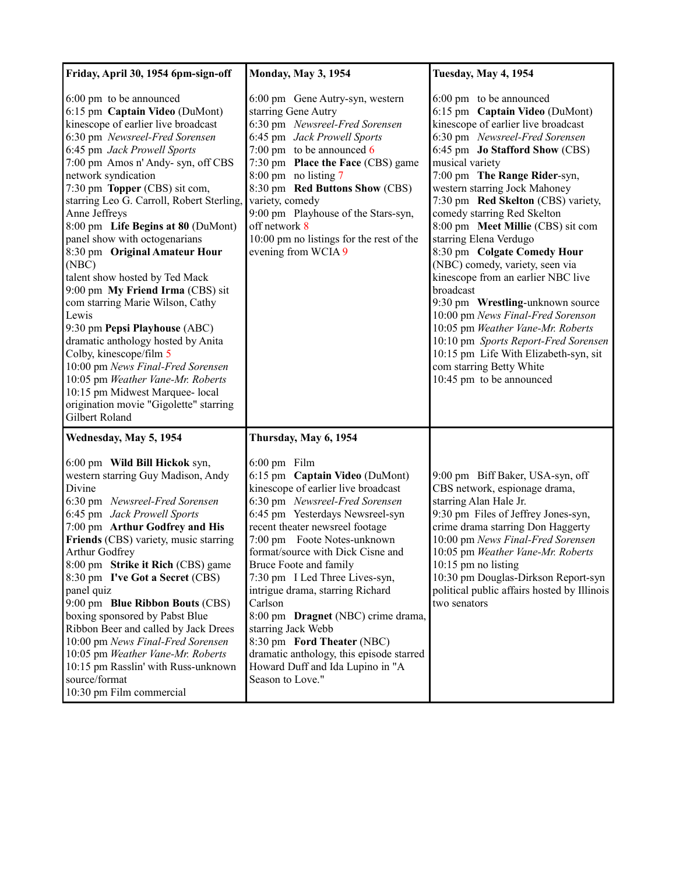| Friday, April 30, 1954 6pm-sign-off                                                                                                                                                                                                                                                                                                                                                                                                                                                                                                                                                                                                                                                                                                                                                                                                          | <b>Monday, May 3, 1954</b>                                                                                                                                                                                                                                                                                                                                                                                                                                                                                                                                                 | <b>Tuesday, May 4, 1954</b>                                                                                                                                                                                                                                                                                                                                                                                                                                                                                                                                                                                                                                                                                                                                              |
|----------------------------------------------------------------------------------------------------------------------------------------------------------------------------------------------------------------------------------------------------------------------------------------------------------------------------------------------------------------------------------------------------------------------------------------------------------------------------------------------------------------------------------------------------------------------------------------------------------------------------------------------------------------------------------------------------------------------------------------------------------------------------------------------------------------------------------------------|----------------------------------------------------------------------------------------------------------------------------------------------------------------------------------------------------------------------------------------------------------------------------------------------------------------------------------------------------------------------------------------------------------------------------------------------------------------------------------------------------------------------------------------------------------------------------|--------------------------------------------------------------------------------------------------------------------------------------------------------------------------------------------------------------------------------------------------------------------------------------------------------------------------------------------------------------------------------------------------------------------------------------------------------------------------------------------------------------------------------------------------------------------------------------------------------------------------------------------------------------------------------------------------------------------------------------------------------------------------|
| 6:00 pm to be announced<br>6:15 pm Captain Video (DuMont)<br>kinescope of earlier live broadcast<br>6:30 pm Newsreel-Fred Sorensen<br>6:45 pm Jack Prowell Sports<br>7:00 pm Amos n' Andy- syn, off CBS<br>network syndication<br>7:30 pm Topper (CBS) sit com,<br>starring Leo G. Carroll, Robert Sterling,<br>Anne Jeffreys<br>8:00 pm Life Begins at 80 (DuMont)<br>panel show with octogenarians<br>8:30 pm Original Amateur Hour<br>(NBC)<br>talent show hosted by Ted Mack<br>9:00 pm My Friend Irma (CBS) sit<br>com starring Marie Wilson, Cathy<br>Lewis<br>9:30 pm Pepsi Playhouse (ABC)<br>dramatic anthology hosted by Anita<br>Colby, kinescope/film 5<br>10:00 pm News Final-Fred Sorensen<br>10:05 pm Weather Vane-Mr. Roberts<br>10:15 pm Midwest Marquee- local<br>origination movie "Gigolette" starring<br>Gilbert Roland | 6:00 pm Gene Autry-syn, western<br>starring Gene Autry<br>6:30 pm Newsreel-Fred Sorensen<br>6:45 pm Jack Prowell Sports<br>7:00 pm to be announced $6$<br>7:30 pm Place the Face (CBS) game<br>8:00 pm no listing 7<br>8:30 pm Red Buttons Show (CBS)<br>variety, comedy<br>9:00 pm Playhouse of the Stars-syn,<br>off network 8<br>10:00 pm no listings for the rest of the<br>evening from WCIA 9                                                                                                                                                                        | 6:00 pm to be announced<br>6:15 pm Captain Video (DuMont)<br>kinescope of earlier live broadcast<br>6:30 pm Newsreel-Fred Sorensen<br>6:45 pm Jo Stafford Show (CBS)<br>musical variety<br>7:00 pm The Range Rider-syn,<br>western starring Jock Mahoney<br>7:30 pm Red Skelton (CBS) variety,<br>comedy starring Red Skelton<br>8:00 pm Meet Millie (CBS) sit com<br>starring Elena Verdugo<br>8:30 pm Colgate Comedy Hour<br>(NBC) comedy, variety, seen via<br>kinescope from an earlier NBC live<br>broadcast<br>9:30 pm Wrestling-unknown source<br>10:00 pm News Final-Fred Sorenson<br>10:05 pm Weather Vane-Mr. Roberts<br>10:10 pm Sports Report-Fred Sorensen<br>10:15 pm Life With Elizabeth-syn, sit<br>com starring Betty White<br>10:45 pm to be announced |
| Wednesday, May 5, 1954                                                                                                                                                                                                                                                                                                                                                                                                                                                                                                                                                                                                                                                                                                                                                                                                                       | Thursday, May 6, 1954                                                                                                                                                                                                                                                                                                                                                                                                                                                                                                                                                      |                                                                                                                                                                                                                                                                                                                                                                                                                                                                                                                                                                                                                                                                                                                                                                          |
| 6:00 pm Wild Bill Hickok syn,<br>western starring Guy Madison, Andy<br>Divine<br>6:30 pm Newsreel-Fred Sorensen<br>6:45 pm Jack Prowell Sports<br>7:00 pm Arthur Godfrey and His<br>Friends (CBS) variety, music starring<br>Arthur Godfrey<br>8:00 pm Strike it Rich (CBS) game<br>8:30 pm I've Got a Secret (CBS)<br>panel quiz<br>9:00 pm Blue Ribbon Bouts (CBS)<br>boxing sponsored by Pabst Blue<br>Ribbon Beer and called by Jack Drees<br>10:00 pm News Final-Fred Sorensen<br>10:05 pm Weather Vane-Mr. Roberts<br>10:15 pm Rasslin' with Russ-unknown<br>source/format<br>10:30 pm Film commercial                                                                                                                                                                                                                                 | 6:00 pm Film<br>6:15 pm Captain Video (DuMont)<br>kinescope of earlier live broadcast<br>6:30 pm Newsreel-Fred Sorensen<br>6:45 pm Yesterdays Newsreel-syn<br>recent theater newsreel footage<br>7:00 pm Foote Notes-unknown<br>format/source with Dick Cisne and<br>Bruce Foote and family<br>7:30 pm I Led Three Lives-syn,<br>intrigue drama, starring Richard<br>Carlson<br>8:00 pm Dragnet (NBC) crime drama,<br>starring Jack Webb<br>8:30 pm Ford Theater (NBC)<br>dramatic anthology, this episode starred<br>Howard Duff and Ida Lupino in "A<br>Season to Love." | 9:00 pm Biff Baker, USA-syn, off<br>CBS network, espionage drama,<br>starring Alan Hale Jr.<br>9:30 pm Files of Jeffrey Jones-syn,<br>crime drama starring Don Haggerty<br>10:00 pm News Final-Fred Sorensen<br>10:05 pm Weather Vane-Mr. Roberts<br>10:15 pm no listing<br>10:30 pm Douglas-Dirkson Report-syn<br>political public affairs hosted by Illinois<br>two senators                                                                                                                                                                                                                                                                                                                                                                                           |